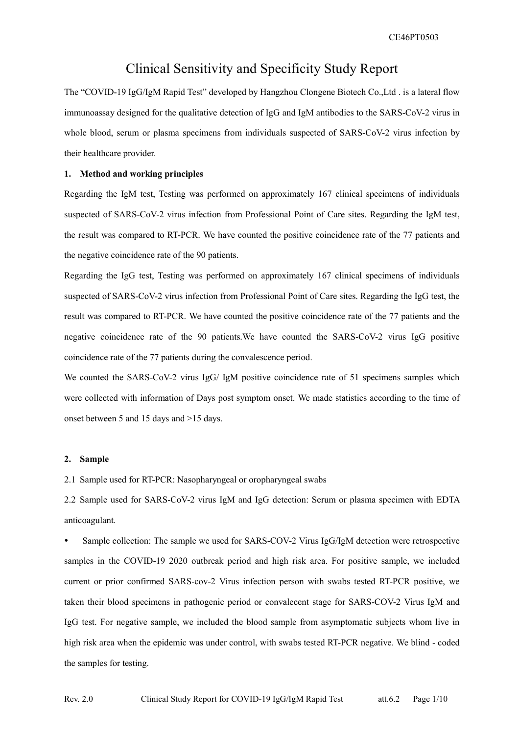CE46PT0503

## **Clinical Sensitivity and Specificity Study Report**

The "COVID-19 IgG/IgM Rapid Test" developed by Hangzhou Clongene Biotech Co., Ltd. is a lateral flow immunoassay designed for the qualitative detection of IgG and IgM antibodies to the SARS-CoV-2 virus in whole blood, serum or plasma specimens from individuals suspected of SARS-CoV-2 virus infection by their healthcare provider.

### 1. Method and working principles

Regarding the IgM test, Testing was performed on approximately 167 clinical specimens of individuals suspected of SARS-CoV-2 virus infection from Professional Point of Care sites. Regarding the IgM test, the result was compared to RT-PCR. We have counted the positive coincidence rate of the 77 patients and the negative coincidence rate of the 90 patients.

Regarding the IgG test, Testing was performed on approximately 167 clinical specimens of individuals suspected of SARS-CoV-2 virus infection from Professional Point of Care sites. Regarding the IgG test, the result was compared to RT-PCR. We have counted the positive coincidence rate of the 77 patients and the negative coincidence rate of the 90 patients. We have counted the SARS-CoV-2 virus IgG positive coincidence rate of the 77 patients during the convalescence period.

We counted the SARS-CoV-2 virus IgG/ IgM positive coincidence rate of 51 specimens samples which were collected with information of Days post symptom onset. We made statistics according to the time of onset between 5 and 15 days and >15 days.

### 2. Sample

2.1 Sample used for RT-PCR: Nasopharyngeal or oropharyngeal swabs

2.2 Sample used for SARS-CoV-2 virus IgM and IgG detection: Serum or plasma specimen with EDTA anticoagulant.

Sample collection: The sample we used for SARS-COV-2 Virus IgG/IgM detection were retrospective samples in the COVID-19 2020 outbreak period and high risk area. For positive sample, we included current or prior confirmed SARS-cov-2 Virus infection person with swabs tested RT-PCR positive, we taken their blood specimens in pathogenic period or convalecent stage for SARS-COV-2 Virus IgM and IgG test. For negative sample, we included the blood sample from asymptomatic subjects whom live in high risk area when the epidemic was under control, with swabs tested RT-PCR negative. We blind - coded the samples for testing.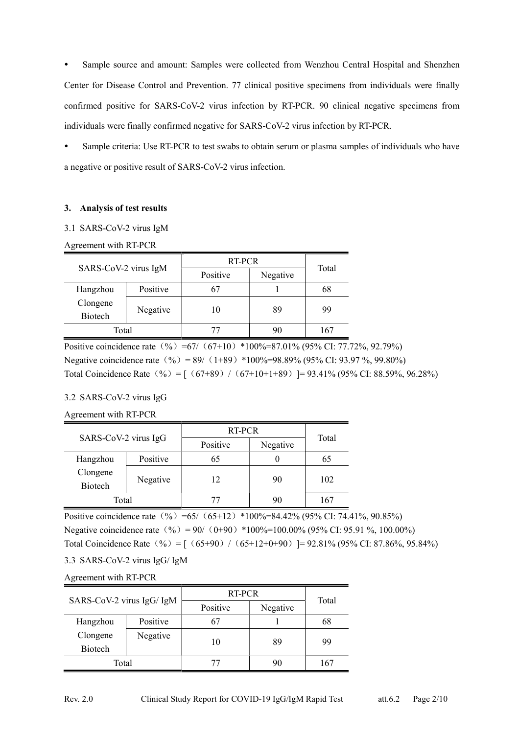Sample source and amount: Samples were collected from Wenzhou Central Hospital and Shenzhen Center for Disease Control and Prevention. 77 clinical positive specimens from individuals were finally confirmed positive for SARS-CoV-2 virus infection by RT-PCR. 90 clinical negative specimens from individuals were finally confirmed negative for SARS-CoV-2 virus infection by RT-PCR.

Sample criteria: Use RT-PCR to test swabs to obtain serum or plasma samples of individuals who have a negative or positive result of SARS-CoV-2 virus infection.

### 3. Analysis of test results

3.1 SARS-CoV-2 virus IgM

### Agreement with RT-PCR

| SARS-CoV-2 virus IgM |          |          | RT-PCR   |       |  |  |  |  |  |  |  |  |
|----------------------|----------|----------|----------|-------|--|--|--|--|--|--|--|--|
|                      |          | Positive | Negative | Total |  |  |  |  |  |  |  |  |
| Hangzhou             | Positive |          |          | 68    |  |  |  |  |  |  |  |  |
| Clongene             |          |          |          | 99    |  |  |  |  |  |  |  |  |
| <b>Biotech</b>       | Negative | 10       | 89       |       |  |  |  |  |  |  |  |  |
| Total                |          |          |          | 167   |  |  |  |  |  |  |  |  |

Positive coincidence rate  $(% )$  =67/  $(67+10)$  \*100%=87.01% (95% CI: 77.72%, 92.79%) Negative coincidence rate  $(\% ) = 89/ (1+89) *100\% = 98.89\% (95\% CI: 93.97\%, 99.80\%)$ Total Coincidence Rate  $(% ) = [ (67+89) / (67+10+1+89) ] = 93.41\% (95\% CI: 88.59\%, 96.28\%)$ 

### 3.2 SARS-CoV-2 virus IgG

### Agreement with RT-PCR

| SARS-CoV-2 virus IgG |          | RT-PCR   | Total    |     |
|----------------------|----------|----------|----------|-----|
|                      |          | Positive | Negative |     |
| Hangzhou             | Positive | 65       |          | 65  |
| Clongene             |          | 12       | 90       | 102 |
| Biotech              | Negative |          |          |     |
| Total                |          |          | 90       | 167 |

Positive coincidence rate  $(\% )$  =65/  $(65+12)$  \*100%=84.42% (95% CI: 74.41%, 90.85%) Negative coincidence rate  $(\% ) = 90/ (0+90) *100\% = 100.00\% (95\% CI: 95.91\%, 100.00\%)$ Total Coincidence Rate  $(% ) = [ (65+90) / (65+12+0+90) ] = 92.81\% (95\% \text{ CI: } 87.86\%, 95.84\%)$ 

3.3 SARS-CoV-2 virus IgG/ IgM

Agreement with RT-PCR

|                           |          | RT-PCR   |          | Total |  |  |  |  |  |  |
|---------------------------|----------|----------|----------|-------|--|--|--|--|--|--|
| SARS-CoV-2 virus IgG/ IgM |          | Positive | Negative |       |  |  |  |  |  |  |
| Hangzhou                  | Positive | 67       |          | 68    |  |  |  |  |  |  |
| Clongene                  | Negative |          | 89       | 99    |  |  |  |  |  |  |
| <b>Biotech</b>            |          | 10       |          |       |  |  |  |  |  |  |
| Total                     |          |          | 90       | 167   |  |  |  |  |  |  |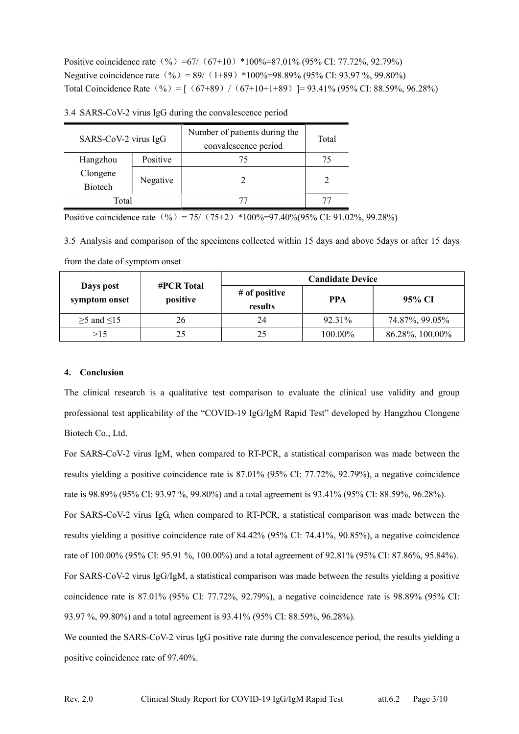Positive coincidence rate  $(% )$  =67/  $(67+10)$  \*100%=87.01% (95% CI: 77.72%, 92.79%) Negative coincidence rate  $(\frac{9}{2}) = 89/((1+89) *100\% = 98.89\% (95\% \text{ CI: } 93.97 \%, 99.80\%)$ Total Coincidence Rate  $(\% ) = [ (67+89) / (67+10+1+89) ] = 93.41\% (95\% CI: 88.59\%, 96.28\%)$ 

| SARS-CoV-2 virus IgG       |          | Number of patients during the<br>convalescence period | Total |
|----------------------------|----------|-------------------------------------------------------|-------|
| Hangzhou                   | Positive | 75                                                    | 75    |
| Clongene<br><b>Biotech</b> | Negative |                                                       |       |
| Total                      |          |                                                       |       |

3.4 SARS-CoV-2 virus IgG during the convalescence period

Positive coincidence rate  $(\% ) = 75/ (75+2) *100\% = 97.40\% = (95\% \text{ CI: } 91.02\% , 99.28\%)$ 

3.5 Analysis and comparison of the specimens collected within 15 days and above 5days or after 15 days

|                            | <b>#PCR Total</b> |                          | <b>Candidate Device</b> |                 |  |  |  |  |  |  |  |  |  |
|----------------------------|-------------------|--------------------------|-------------------------|-----------------|--|--|--|--|--|--|--|--|--|
| Days post<br>symptom onset | positive          | # of positive<br>results | <b>PPA</b>              | 95% CI          |  |  |  |  |  |  |  |  |  |
| $\geq$ 5 and $\leq$ 15     | 26                | 24                       | 92.31%                  | 74.87%, 99.05%  |  |  |  |  |  |  |  |  |  |
| >15                        | 25                | 25                       | 100.00%                 | 86.28%, 100.00% |  |  |  |  |  |  |  |  |  |

from the date of symptom onset

### 4. Conclusion

The clinical research is a qualitative test comparison to evaluate the clinical use validity and group professional test applicability of the "COVID-19 IgG/IgM Rapid Test" developed by Hangzhou Clongene Biotech Co., Ltd.

For SARS-CoV-2 virus IgM, when compared to RT-PCR, a statistical comparison was made between the results yielding a positive coincidence rate is 87.01% (95% CI: 77.72%, 92.79%), a negative coincidence rate is 98.89% (95% CI: 93.97%, 99.80%) and a total agreement is 93.41% (95% CI: 88.59%, 96.28%).

For SARS-CoV-2 virus IgG, when compared to RT-PCR, a statistical comparison was made between the results yielding a positive coincidence rate of 84.42% (95% CI: 74.41%, 90.85%), a negative coincidence rate of 100.00% (95% CI: 95.91 %, 100.00%) and a total agreement of 92.81% (95% CI: 87.86%, 95.84%). For SARS-CoV-2 virus IgG/IgM, a statistical comparison was made between the results yielding a positive coincidence rate is 87.01% (95% CI: 77.72%, 92.79%), a negative coincidence rate is 98.89% (95% CI: 93.97 %, 99.80%) and a total agreement is 93.41% (95% CI: 88.59%, 96.28%).

We counted the SARS-CoV-2 virus IgG positive rate during the convalescence period, the results yielding a positive coincidence rate of 97.40%.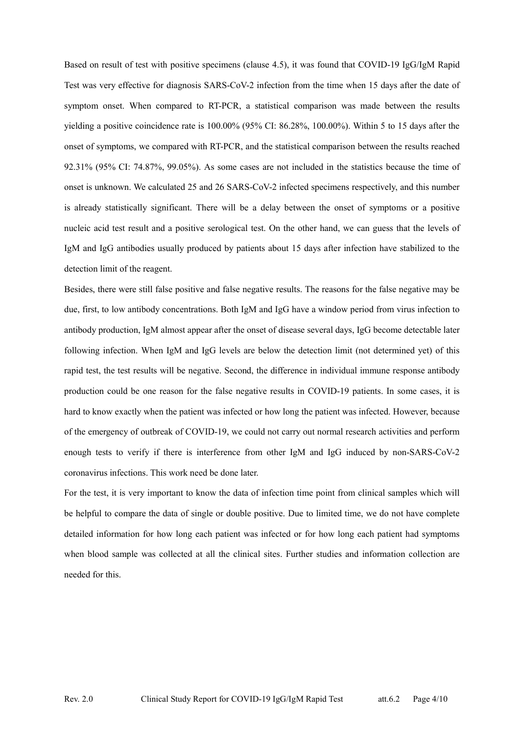Based on result of test with positive specimens (clause 4.5), it was found that COVID-19 IgG/IgM Rapid Test was very effective for diagnosis SARS-CoV-2 infection from the time when 15 days after the date of symptom onset. When compared to RT-PCR, a statistical comparison was made between the results yielding a positive coincidence rate is 100.00% (95% CI: 86.28%, 100.00%). Within 5 to 15 days after the onset of symptoms, we compared with RT-PCR, and the statistical comparison between the results reached 92.31% (95% CI: 74.87%, 99.05%). As some cases are not included in the statistics because the time of onset is unknown. We calculated 25 and 26 SARS-CoV-2 infected specimens respectively, and this number is already statistically significant. There will be a delay between the onset of symptoms or a positive nucleic acid test result and a positive serological test. On the other hand, we can guess that the levels of IgM and IgG antibodies usually produced by patients about 15 days after infection have stabilized to the detection limit of the reagent.

Besides, there were still false positive and false negative results. The reasons for the false negative may be due, first, to low antibody concentrations. Both IgM and IgG have a window period from virus infection to antibody production, IgM almost appear after the onset of disease several days, IgG become detectable later following infection. When IgM and IgG levels are below the detection limit (not determined yet) of this rapid test, the test results will be negative. Second, the difference in individual immune response antibody production could be one reason for the false negative results in COVID-19 patients. In some cases, it is hard to know exactly when the patient was infected or how long the patient was infected. However, because of the emergency of outbreak of COVID-19, we could not carry out normal research activities and perform enough tests to verify if there is interference from other IgM and IgG induced by non-SARS-CoV-2 coronavirus infections. This work need be done later.

For the test, it is very important to know the data of infection time point from clinical samples which will be helpful to compare the data of single or double positive. Due to limited time, we do not have complete detailed information for how long each patient was infected or for how long each patient had symptoms when blood sample was collected at all the clinical sites. Further studies and information collection are needed for this.

Page 4/10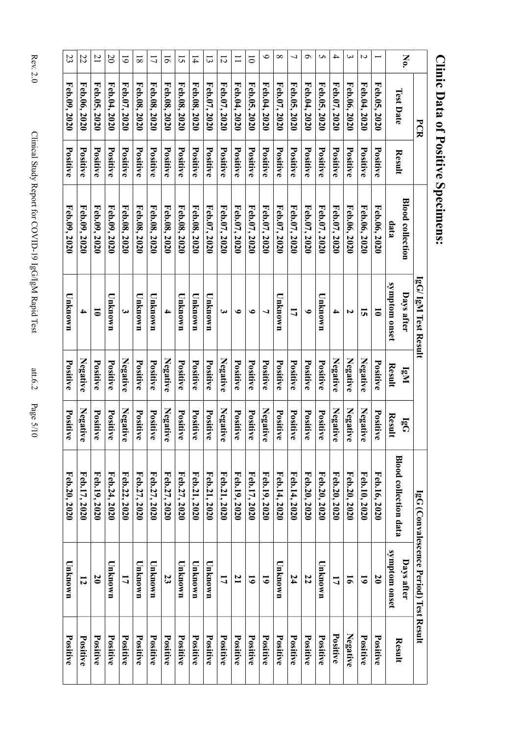| Kev. 4.                                                  |
|----------------------------------------------------------|
| Clinical Stady Rapid LeG/IEC/DD/OND-19 LeG/IeC/DD/OND-19 |
| $\ddot{\phantom{a}}$<br>$P_{\text{acc}}$ 5/10            |

|                                        | No                          |                              | $\overline{\phantom{0}}$   | Z<br>Feb.04, 2020 |                | $\bm{\omega}$ | 4<br>Feb.07, 2020 | S            | $\sigma$        | 7            | $\infty$     | ৩<br>Feb.04, 2020 | $\overline{0}$ |                 | $\overline{2}$  | $\tilde{\omega}$ | $\overline{1}$ | 5<br>Feb.08, 2020 | $\overline{9}$<br>Feb.08, 2020 | $\overline{L}$<br>Feb.08, 2020 | $\overline{8}$ | $\overline{6}$ | $\mathfrak{D}$  | $\overline{21}$      | 22<br>Feb.06, 2020 |
|----------------------------------------|-----------------------------|------------------------------|----------------------------|-------------------|----------------|---------------|-------------------|--------------|-----------------|--------------|--------------|-------------------|----------------|-----------------|-----------------|------------------|----------------|-------------------|--------------------------------|--------------------------------|----------------|----------------|-----------------|----------------------|--------------------|
| PCR                                    |                             | <b>Test Date</b>             | Feb.05, 2020               |                   | Feb.06, 2020   |               |                   | Feb.05, 2020 | Feb.04, 2020    | Feb.05, 2020 | Feb.07, 2020 |                   | Feb.05, 2020   | Feb.04, 2020    | Feb.07, 2020    | Feb.07, 2020     | Feb.08, 2020   |                   |                                |                                | Feb.08, 2020   | Feb.07, 2020   | Feb.04, 2020    | Feb.05, $2020$       |                    |
|                                        |                             | Result                       | Positive                   | Positive          | Positive       | Positive      | Positive          |              | Positive        | Positive     | Positive     | Positive          | Positive       | Positive        | Positive        | Positive         | Positive       | Positive          | Positive                       | Positive                       | Positive       | Positive       | Positive        | Positive             | Positive           |
|                                        | <b>Blood collection</b>     | data                         | Feb.06, 2020               | Feb.06, 2020      | Feb.06, 2020   | Feb.07, 2020  | Feb.07, 2020      | Feb.07, 2020 |                 | Feb.07, 2020 | Feb.07, 2020 | Feb.07, 2020      | Feb.07, 2020   | Feb.07, 2020    | Feb.07, 2020    | Feb.07, 2020     | Feb.08, 2020   | Feb.08, 2020      | Feb.08, 2020                   | Feb.08, 2020                   | Feb.08, 2020   | Feb.08, 2020   | Feb.09, 2020    | Feb.09, 2020         | Feb.09, 2020       |
| lgG/ IgM Test Result                   | Days after                  | symptom onset                | $\overline{\bullet}$       | 5                 | N              | 4             | Unknown           | $\bullet$    | 17              |              | Unknown      |                   | $\bullet$      | ৩               | ى               | Unknown          | Unknown        | Unknown           |                                | Unknown                        | UMANOWE        | 3              | U nknown        | $\overline{\bullet}$ | 4                  |
|                                        | $\mathbf{I}^{\mathbf{g}}$ N | Result                       | Positive                   | Negative          | Negative       | Negative      | Positive          | Positive     | Positive        |              | Positive     | Positive          | Positive       | Positive        | Negative        | Positive         | Positive       | Positive          | Negative                       | Positive                       | Positive       | Negative       | Positive        | Positive             | Negative           |
|                                        | $\overline{\mathbf{B}}$     | Result                       | Positive                   | Negative          | Negative       | Negative      | Positive          | Positive     |                 | Positive     | Positive     | Negative          | Positive       | Positive        | Negative        | Positive         | Positive       | Positive          | Negative                       | Positive                       | Positive       | Negative       | Positive        | Positive             | Negative           |
|                                        |                             | <b>Blood collection data</b> | Feb.16, 2020               | Feb.10, 2020      | Feb.20, 2020   | Feb.20, 2020  | Feb.20, 2020      | Feb.20, 2020 | Feb.14, 2020    |              | Feb.14, 2020 | Feb.19, 2020      | Feb.17, 2020   | Feb.19, 2020    | Feb.21, 2020    | Feb.21, 2020     | Feb.21, 2020   | Feb.27, 2020      | Feb.27, 2020                   | Feb.27, 2020                   | Feb.27, 2020   | Feb.22, 2020   | Feb.24, 2020    | Feb.19, 2020         | Feb.17, 2020       |
| IgG (Convalescence Period) Test Result | <b>Days after</b>           | symptom onset                | $\boldsymbol{\mathcal{S}}$ | 6                 | $\overline{5}$ | 17            | Unknown           | 22           |                 | 74           | Unknown      | 5                 | 6              | $\mathbf{z}$    | 17              | Unknown          | Unknown        | Unknown           | $\overline{\mathbf{z}}$        | Unknown                        | Unknown        | 17             | Unknown         | $\mathfrak{g}$       | 12                 |
|                                        |                             | Result                       | Positive                   | Positive          | Negative       | Positive      | Positive          | Positive     | <b>Positive</b> |              | Positive     | Positive          | Positive       | <b>Positive</b> | <b>Positive</b> | Positive         | Positive       | Positive          | Positive                       | Positive                       | Positive       | Positive       | <b>Positive</b> | Positive             | Positive           |

# Clinic Data of Positive Specimens: **Clinic Data of Positive Specimens:**

att.6.2 Page 5/10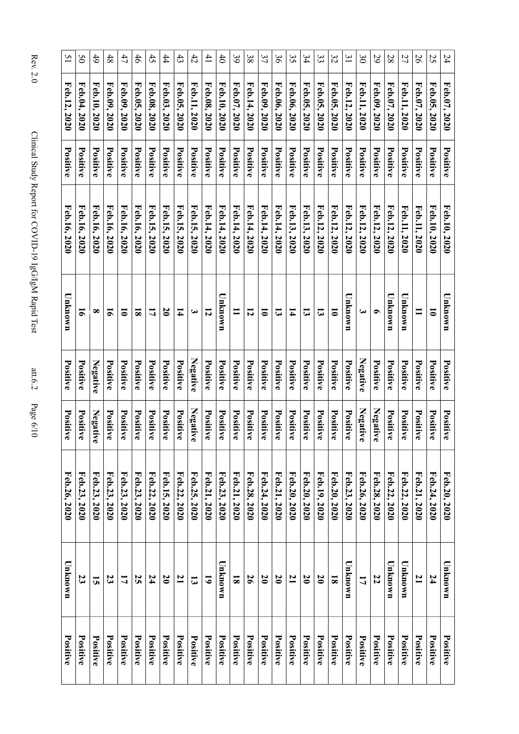| $ReV \sim$                                                              |
|-------------------------------------------------------------------------|
| $\frac{2}{1}$<br>Clinical Stady Rapid EGG/IgN DigG/IgN Rapid Propertion |
| $\ddotsc$                                                               |
| j<br>$\frac{2}{2}$                                                      |

att.6.2 Page 6/10

Rev. 2.0 Clinic

| $\overline{5}$  | SO           | $\ddot{6}$   | 48              | 47                   | 46                      | 45           | 44                | 43             | 42                    | $^{41}$         | $\sharp$        | 39                      | 38           | 37                   | $\mathfrak{g}$             | 35              | 34               | 33             | 32                      | $\tilde{z}$  | $\infty$     | 29           | 28           | 27           | 56             | 25                   | 24           |
|-----------------|--------------|--------------|-----------------|----------------------|-------------------------|--------------|-------------------|----------------|-----------------------|-----------------|-----------------|-------------------------|--------------|----------------------|----------------------------|-----------------|------------------|----------------|-------------------------|--------------|--------------|--------------|--------------|--------------|----------------|----------------------|--------------|
| Feb.12, 2020    | Feb.04, 2020 | Feb.10, 2020 | Feb.09, 2020    | Feb.09, 2020         | Feb.05, 2020            | Feb.08, 2020 | Feb.03, 2020      | Feb.05, 2020   | Feb.11, 2020          | Feb.08, 2020    | Feb.10, 2020    | Feb.07, 2020            | Feb.14, 2020 | Feb.09, 2020         | Feb.06, 2020               | Feb.06, 2020    | Feb.05, 2020     | Feb.05, 2020   | Feb.05, 2020            | Feb.12, 2020 | Feb.11, 2020 | Feb.09, 2020 | Feb.07, 2020 | Feb.11, 2020 | Feb.07, 2020   | Feb.05, 2020         | Feb.07, 2020 |
| Positive        | Positive     | Positive     | Positive        | Positive             | Positive                | Positive     | Positive          | Positive       | Positive              | <b>Positive</b> | Positive        | Positive                | Positive     | Positive             | Positive                   | Positive        | Positive         | Positive       | Positive                | Positive     | Positive     | Positive     | Positive     | Positive     | Positive       | Positive             | Positive     |
| Feb.16, 2020    | Feb.16, 2020 | Feb.16, 2020 | Feb.16, 2020    | Feb.16, 2020         | Feb.16, 2020            | Feb.15, 2020 | Feb.15, 2020      | Feb.15, 2020   | Feb.15, 2020          | Feb.14, 2020    | Feb.14, 2020    | Feb.14, 2020            | Feb.14, 2020 | Feb.14, 2020         | Feb.14, 2020               | Feb.13, 2020    | Feb.13, 2020     | Feb.12, 2020   | Feb.12, 2020            | Feb.12, 2020 | Feb.12, 2020 | Feb.12, 2020 | Feb.12, 2020 | Feb.11, 2020 | Feb.11, 2020   | Feb.10, 2020         | Feb.10, 2020 |
| Unknown         | 5            | $\infty$     | $\overline{5}$  | $\overline{\bullet}$ | $\overline{\mathbf{8}}$ | 17           | $\boldsymbol{50}$ | 14             | $\boldsymbol{\omega}$ | 12              | Unknown         | $\blacksquare$          | 12           | $\overline{\bullet}$ | $\mathbf{c}$               | 14              | $\mathbf{3}$     | $\mathbf{a}$   | $\overline{\bullet}$    | Unknown      | ω            | ╺            | Unknown      | Unknown      | $\mathbf{I}$   | $\overline{\bullet}$ | Unknown      |
| Positive        | Positive     | Negative     | Positive        | Positive             | Positive                | Positive     | Positive          | Positive       | Negative              | Positive        | Positive        | Positive                | Positive     | Positive             | Positive                   | Positive        | Positive         | Positive       | Positive                | Positive     | Negative     | Positive     | Positive     | Positive     | Positive       | Positive             | Positive     |
| Positive        | Positive     | Negative     | Positive        | Positive             | Positive                | Positive     | Positive          | Positive       | Negative              | Positive        | Positive        | Positive                | Positive     | Positive             | Positive                   | Positive        | Positive         | Positive       | Positive                | Positive     | Negative     | Negative     | Positive     | Positive     | Positive       | Positive             | Positive     |
| Feb.26, 2020    | Feb.23, 2020 | Feb.23, 2020 | Feb.23, 2020    | Feb.23, 2020         | Feb.23, 2020            | Feb.22, 2020 | Feb.15, 2020      | Feb.22, 2020   | Feb.25, 2020          | Feb.21, 2020    | Feb.23, 2020    | Feb.21, 2020            | Feb.28, 2020 | Feb.24, 2020         | Feb.21, 2020               | Feb.20, 2020    | Feb.20, 2020     | Feb.19, 2020   | Feb.20, 2020            | Feb.23, 2020 | Feb.26, 2020 | Feb.28, 2020 | Feb.22, 2020 | Feb.22, 2020 | Feb.21, 2020   | Feb.24, 2020         | Feb.20, 2020 |
| Unknown         | 23           | 5            | 23              | 17                   | 52                      | 24           | $\mathfrak{g}$    | $\overline{1}$ | $\mathbf{5}$          | 5               | Unknown         | $\overline{\mathbf{8}}$ | 56           | 20                   | $\boldsymbol{\mathcal{S}}$ | $\mathbf{z}$    | $\boldsymbol{0}$ | $\mathfrak{g}$ | $\overline{\mathbf{8}}$ | Unknown      | 17           | 22           | Unknown      | Unknown      | $\overline{1}$ | 24                   | Unknown      |
| <b>Positive</b> | Positive     | Positive     | <b>Positive</b> | Positive             | Positive                | Positive     | <b>Positive</b>   | Positive       | Positive              | Positive        | <b>Positive</b> | Positive                | Positive     | Positive             | Positive                   | <b>Positive</b> | <b>Positive</b>  | Positive       | Positive                | Positive     | Positive     | Positive     | Positive     | Positive     | Positive       | <b>Positive</b>      | Positive     |

 $\top$ 

Т T ┱ T

 $\overline{1}$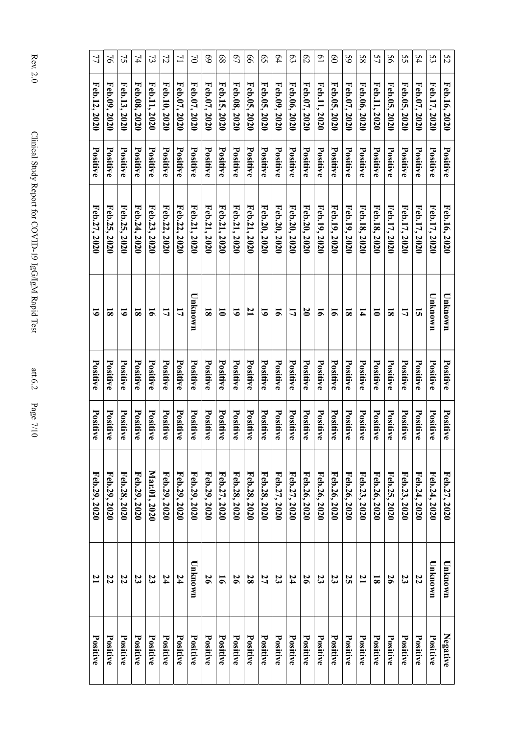| 77             | $\overline{6}$ | 75           | 74                      | $\mathfrak{B}$ | 72           | $\overline{L}$ | $\mathfrak{S}$ | 69                      | 89                   | $\mathcal{L}^{\mathcal{L}}$ | 99           | $\mathcal{S}^{\mathcal{S}}$ | 64             | $\mathfrak{S}$ | $\mathcal{C}$    | $\overline{0}$ | $\overline{8}$  | $\mathcal{S}9$          | 58           | 57                      | 56                      | 55           | 54             | 53           | 52           |
|----------------|----------------|--------------|-------------------------|----------------|--------------|----------------|----------------|-------------------------|----------------------|-----------------------------|--------------|-----------------------------|----------------|----------------|------------------|----------------|-----------------|-------------------------|--------------|-------------------------|-------------------------|--------------|----------------|--------------|--------------|
| Feb.12, 2020   | Feb.09, 2020   | Feb.13, 2020 | Feb.08, 2020            | Feb.11, 2020   | Feb.10, 2020 | Feb.07, 2020   | Feb.07, 2020   | Feb.07, 2020            | Feb.15, 2020         | Feb.08, 2020                | Feb.05, 2020 | Feb.05, 2020                | Feb.09, 2020   | Feb.06, 2020   | Feb.07, 2020     | Feb.11, 2020   | Feb.05, 2020    | Feb.07, 2020            | Feb.06, 2020 | Feb.11, 2020            | Feb.05, 2020            | Feb.05, 2020 | Feb.07, 2020   | Feb.17, 2020 | Feb.16, 2020 |
| Positive       | Positive       | Positive     | Positive                | Positive       | Positive     | Positive       | Positive       | Positive                | Positive             | Positive                    | Positive     | Positive                    | Positive       | Positive       | Positive         | Positive       | Positive        | Positive                | Positive     | Positive                | Positive                | Positive     | Positive       | Positive     | Positive     |
| Feb.27, 2020   | Feb.25, 2020   | Feb.25, 2020 | Feb.24, 2020            | Feb.23, 2020   | Feb.22, 2020 | Feb.22, 2020   | Feb.21, 2020   | Feb.21, 2020            | Feb.21, 2020         | Feb.21, 2020                | Feb.21, 2020 | Feb.20, 2020                | Feb.20, 2020   | Feb.20, 2020   | Feb.20, 2020     | Feb.19, 2020   | Feb.19, 2020    | Feb.19, 2020            | Feb.18, 2020 | Feb.18, 2020            | Feb.17, 2020            | Feb.17, 2020 | Feb.17, 2020   | Feb.17, 2020 | Feb.16, 2020 |
| $\overline{6}$ | $\bf{3}$       | 5            | $\overline{\mathbf{8}}$ | $\overline{5}$ | 17           | 17             | Unknown        | $\overline{\mathbf{8}}$ | $\overline{\bullet}$ | $\tilde{\bullet}$           | $\mathbf{z}$ | $\tilde{\bullet}$           | $\overline{5}$ | 17             | $\boldsymbol{0}$ | $\overline{5}$ | $\overline{5}$  | $\overline{\mathbf{s}}$ | 14           | $\overline{\bullet}$    | $\overline{\mathbf{8}}$ | 17           | $\overline{a}$ | Unknown      | Unknown      |
| Positive       | Positive       | Positive     | Positive                | Positive       | Positive     | Positive       | Positive       | Positive                | Positive             | Positive                    | Positive     | Positive                    | Positive       | Positive       | Positive         | Positive       | Positive        | Positive                | Positive     | Positive                | Positive                | Positive     | Positive       | Positive     | Positive     |
| Positive       | Positive       | Positive     | Positive                | Positive       | Positive     | Positive       | Positive       | Positive                | Positive             | Positive                    | Positive     | Positive                    | Positive       | Positive       | Positive         | Positive       | Positive        | Positive                | Positive     | Positive                | Positive                | Positive     | Positive       | Positive     | Positive     |
| Feb.29, 2020   | Feb.29, 2020   | Feb.28, 2020 | Feb.29, 2020            | Mar.01, 2020   | Feb.29, 2020 | Feb.29, 2020   | Feb.29, 2020   | Feb.29, 2020            | Feb.27, 2020         | Feb.28, 2020                | Feb.28, 2020 | Feb.28, 2020                | Feb.27, 2020   | Feb.27, 2020   | Feb.26, 2020     | Feb.26, 2020   | Feb.26, 2020    | Feb.26, 2020            | Feb.23, 2020 | Feb.26, 2020            | Feb.25, 2020            | Feb.23, 2020 | Feb.24, 2020   | Feb.24, 2020 | Feb.27, 2020 |
| $\mathbf{L}$   | 22             | 22           | 23                      | 23             | 74           | 24             | Unknown        | $\overline{56}$         | $\overline{5}$       | $\overline{56}$             | 28           | 27                          | 23             | 24             | $\overline{56}$  | 23             | 23              | 52                      | $\mathbf{z}$ | $\overline{\mathbf{8}}$ | 56                      | 23           | 22             | Unknown      | Unknown      |
| Positive       | Positive       | Positive     | Positive                | Positive       | Positive     | Positive       | Positive       | <b>Positive</b>         | Positive             | Positive                    | Positive     | Positive                    | Positive       | Positive       | <b>Positive</b>  | Positive       | <b>Positive</b> | Positive                | Positive     | Positive                | Positive                | Positive     | Positive       | Positive     | Negative     |

Rey. 2.0 Clinical Study Report for COVID-19 IgG/IgM Rapid Test aww.6.2 Page 7/10 Clinical Study Report for COVID-19 IgG/IgM Rapid Test att.6.2 Page 7/10

Rev. 2.0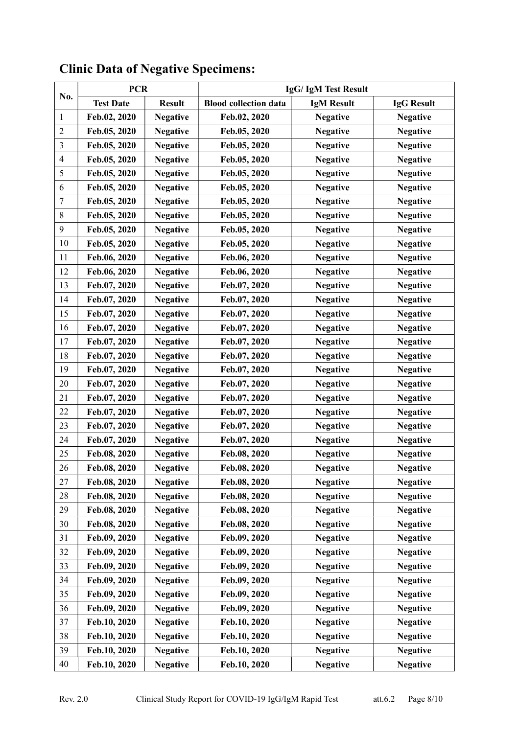|                         | <b>PCR</b>       |                 | IgG/IgM Test Result          |                   |                   |  |  |  |  |  |  |  |  |
|-------------------------|------------------|-----------------|------------------------------|-------------------|-------------------|--|--|--|--|--|--|--|--|
| No.                     | <b>Test Date</b> | <b>Result</b>   | <b>Blood collection data</b> | <b>IgM Result</b> | <b>IgG Result</b> |  |  |  |  |  |  |  |  |
| 1                       | Feb.02, 2020     | <b>Negative</b> | Feb.02, 2020                 | <b>Negative</b>   | <b>Negative</b>   |  |  |  |  |  |  |  |  |
| $\overline{c}$          | Feb.05, 2020     | <b>Negative</b> | Feb.05, 2020                 | <b>Negative</b>   | <b>Negative</b>   |  |  |  |  |  |  |  |  |
| $\overline{3}$          | Feb.05, 2020     | <b>Negative</b> | Feb.05, 2020                 | <b>Negative</b>   | <b>Negative</b>   |  |  |  |  |  |  |  |  |
| $\overline{\mathbf{4}}$ | Feb.05, 2020     | <b>Negative</b> | Feb.05, 2020                 | <b>Negative</b>   | <b>Negative</b>   |  |  |  |  |  |  |  |  |
| 5                       | Feb.05, 2020     | <b>Negative</b> | Feb.05, 2020                 | <b>Negative</b>   | <b>Negative</b>   |  |  |  |  |  |  |  |  |
| 6                       | Feb.05, 2020     | <b>Negative</b> | Feb.05, 2020                 | <b>Negative</b>   | <b>Negative</b>   |  |  |  |  |  |  |  |  |
| $\tau$                  | Feb.05, 2020     | <b>Negative</b> | Feb.05, 2020                 | <b>Negative</b>   | <b>Negative</b>   |  |  |  |  |  |  |  |  |
| $\,8\,$                 | Feb.05, 2020     | <b>Negative</b> | Feb.05, 2020                 | <b>Negative</b>   | <b>Negative</b>   |  |  |  |  |  |  |  |  |
| $\boldsymbol{9}$        | Feb.05, 2020     | <b>Negative</b> | Feb.05, 2020                 | <b>Negative</b>   | <b>Negative</b>   |  |  |  |  |  |  |  |  |
| 10                      | Feb.05, 2020     | <b>Negative</b> | Feb.05, 2020                 | <b>Negative</b>   | <b>Negative</b>   |  |  |  |  |  |  |  |  |
| 11                      | Feb.06, 2020     | <b>Negative</b> | Feb.06, 2020                 | <b>Negative</b>   | <b>Negative</b>   |  |  |  |  |  |  |  |  |
| 12                      | Feb.06, 2020     | <b>Negative</b> | Feb.06, 2020                 | <b>Negative</b>   | <b>Negative</b>   |  |  |  |  |  |  |  |  |
| 13                      | Feb.07, 2020     | <b>Negative</b> | Feb.07, 2020                 | <b>Negative</b>   | <b>Negative</b>   |  |  |  |  |  |  |  |  |
| 14                      | Feb.07, 2020     | <b>Negative</b> | Feb.07, 2020                 | <b>Negative</b>   | <b>Negative</b>   |  |  |  |  |  |  |  |  |
| 15                      | Feb.07, 2020     | <b>Negative</b> | Feb.07, 2020                 | <b>Negative</b>   | <b>Negative</b>   |  |  |  |  |  |  |  |  |
| 16                      | Feb.07, 2020     | <b>Negative</b> | Feb.07, 2020                 | <b>Negative</b>   | <b>Negative</b>   |  |  |  |  |  |  |  |  |
| 17                      | Feb.07, 2020     | <b>Negative</b> | Feb.07, 2020                 | <b>Negative</b>   | <b>Negative</b>   |  |  |  |  |  |  |  |  |
| 18                      | Feb.07, 2020     | <b>Negative</b> | Feb.07, 2020                 | <b>Negative</b>   | <b>Negative</b>   |  |  |  |  |  |  |  |  |
| 19                      | Feb.07, 2020     | <b>Negative</b> | Feb.07, 2020                 | <b>Negative</b>   | <b>Negative</b>   |  |  |  |  |  |  |  |  |
| 20                      | Feb.07, 2020     | <b>Negative</b> | Feb.07, 2020                 | <b>Negative</b>   | <b>Negative</b>   |  |  |  |  |  |  |  |  |
| 21                      | Feb.07, 2020     | <b>Negative</b> | Feb.07, 2020                 | <b>Negative</b>   | <b>Negative</b>   |  |  |  |  |  |  |  |  |
| 22                      | Feb.07, 2020     | <b>Negative</b> | Feb.07, 2020                 | <b>Negative</b>   | <b>Negative</b>   |  |  |  |  |  |  |  |  |
| 23                      | Feb.07, 2020     | <b>Negative</b> | Feb.07, 2020                 | <b>Negative</b>   | <b>Negative</b>   |  |  |  |  |  |  |  |  |
| 24                      | Feb.07, 2020     | <b>Negative</b> | Feb.07, 2020                 | <b>Negative</b>   | <b>Negative</b>   |  |  |  |  |  |  |  |  |
| 25                      | Feb.08, 2020     | <b>Negative</b> | Feb.08, 2020                 | <b>Negative</b>   | <b>Negative</b>   |  |  |  |  |  |  |  |  |
| 26                      | Feb.08, 2020     | <b>Negative</b> | Feb.08, 2020                 | <b>Negative</b>   | <b>Negative</b>   |  |  |  |  |  |  |  |  |
| 27                      | Feb.08, 2020     | <b>Negative</b> | Feb.08, 2020                 | <b>Negative</b>   | <b>Negative</b>   |  |  |  |  |  |  |  |  |
| 28                      | Feb.08, 2020     | <b>Negative</b> | Feb.08, 2020                 | <b>Negative</b>   | <b>Negative</b>   |  |  |  |  |  |  |  |  |
| 29                      | Feb.08, 2020     | <b>Negative</b> | Feb.08, 2020                 | <b>Negative</b>   | <b>Negative</b>   |  |  |  |  |  |  |  |  |
| 30                      | Feb.08, 2020     | <b>Negative</b> | Feb.08, 2020                 | <b>Negative</b>   | <b>Negative</b>   |  |  |  |  |  |  |  |  |
| 31                      | Feb.09, 2020     | <b>Negative</b> | Feb.09, 2020                 | <b>Negative</b>   | <b>Negative</b>   |  |  |  |  |  |  |  |  |
| 32                      | Feb.09, 2020     | <b>Negative</b> | Feb.09, 2020                 | <b>Negative</b>   | <b>Negative</b>   |  |  |  |  |  |  |  |  |
| 33                      | Feb.09, 2020     | <b>Negative</b> | Feb.09, 2020                 | <b>Negative</b>   | <b>Negative</b>   |  |  |  |  |  |  |  |  |
| 34                      | Feb.09, 2020     | <b>Negative</b> | Feb.09, 2020                 | <b>Negative</b>   | <b>Negative</b>   |  |  |  |  |  |  |  |  |
| 35                      | Feb.09, 2020     | <b>Negative</b> | Feb.09, 2020                 | <b>Negative</b>   | <b>Negative</b>   |  |  |  |  |  |  |  |  |
| 36                      | Feb.09, 2020     | <b>Negative</b> | Feb.09, 2020                 | <b>Negative</b>   | <b>Negative</b>   |  |  |  |  |  |  |  |  |
| 37                      | Feb.10, 2020     | <b>Negative</b> | Feb.10, 2020                 | <b>Negative</b>   | <b>Negative</b>   |  |  |  |  |  |  |  |  |
| 38                      | Feb.10, 2020     | <b>Negative</b> | Feb.10, 2020                 | <b>Negative</b>   | <b>Negative</b>   |  |  |  |  |  |  |  |  |
| 39                      | Feb.10, 2020     | <b>Negative</b> | Feb.10, 2020                 | <b>Negative</b>   | <b>Negative</b>   |  |  |  |  |  |  |  |  |
| 40                      | Feb.10, 2020     | <b>Negative</b> | Feb.10, 2020                 | <b>Negative</b>   | <b>Negative</b>   |  |  |  |  |  |  |  |  |

# **Clinic Data of Negative Specimens:**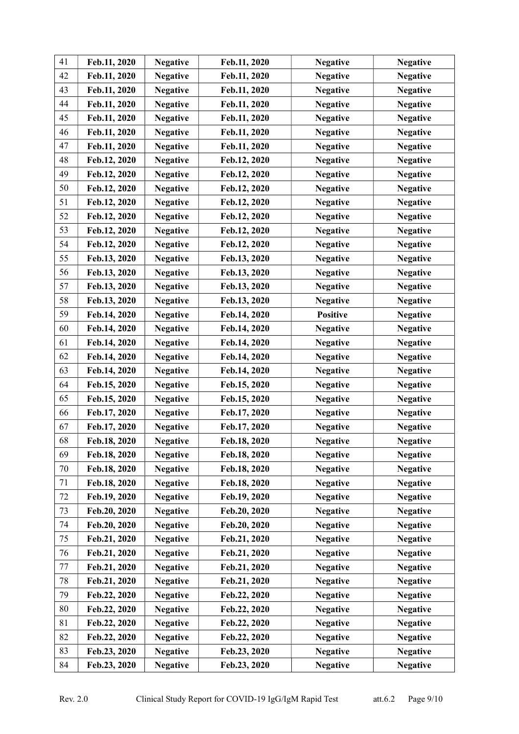| 41 | Feb.11, 2020 | <b>Negative</b> | Feb.11, 2020 | <b>Negative</b> | <b>Negative</b> |
|----|--------------|-----------------|--------------|-----------------|-----------------|
| 42 | Feb.11, 2020 | <b>Negative</b> | Feb.11, 2020 | <b>Negative</b> | <b>Negative</b> |
| 43 | Feb.11, 2020 | <b>Negative</b> | Feb.11, 2020 | <b>Negative</b> | <b>Negative</b> |
| 44 | Feb.11, 2020 | <b>Negative</b> | Feb.11, 2020 | <b>Negative</b> | <b>Negative</b> |
| 45 | Feb.11, 2020 | <b>Negative</b> | Feb.11, 2020 | <b>Negative</b> | <b>Negative</b> |
| 46 | Feb.11, 2020 | <b>Negative</b> | Feb.11, 2020 | <b>Negative</b> | <b>Negative</b> |
| 47 | Feb.11, 2020 | <b>Negative</b> | Feb.11, 2020 | <b>Negative</b> | <b>Negative</b> |
| 48 | Feb.12, 2020 | <b>Negative</b> | Feb.12, 2020 | <b>Negative</b> | <b>Negative</b> |
| 49 | Feb.12, 2020 | <b>Negative</b> | Feb.12, 2020 | <b>Negative</b> | <b>Negative</b> |
| 50 | Feb.12, 2020 | <b>Negative</b> | Feb.12, 2020 | <b>Negative</b> | <b>Negative</b> |
| 51 | Feb.12, 2020 | <b>Negative</b> | Feb.12, 2020 | <b>Negative</b> | <b>Negative</b> |
| 52 | Feb.12, 2020 | <b>Negative</b> | Feb.12, 2020 | <b>Negative</b> | <b>Negative</b> |
| 53 | Feb.12, 2020 | <b>Negative</b> | Feb.12, 2020 | <b>Negative</b> | <b>Negative</b> |
| 54 | Feb.12, 2020 | <b>Negative</b> | Feb.12, 2020 | <b>Negative</b> | <b>Negative</b> |
| 55 | Feb.13, 2020 | <b>Negative</b> | Feb.13, 2020 | <b>Negative</b> | <b>Negative</b> |
| 56 | Feb.13, 2020 | <b>Negative</b> | Feb.13, 2020 | <b>Negative</b> | <b>Negative</b> |
| 57 | Feb.13, 2020 | <b>Negative</b> | Feb.13, 2020 | <b>Negative</b> | <b>Negative</b> |
| 58 | Feb.13, 2020 | <b>Negative</b> | Feb.13, 2020 | <b>Negative</b> | <b>Negative</b> |
| 59 | Feb.14, 2020 | <b>Negative</b> | Feb.14, 2020 | <b>Positive</b> | <b>Negative</b> |
| 60 | Feb.14, 2020 | <b>Negative</b> | Feb.14, 2020 | <b>Negative</b> | <b>Negative</b> |
| 61 | Feb.14, 2020 | <b>Negative</b> | Feb.14, 2020 | <b>Negative</b> | <b>Negative</b> |
| 62 | Feb.14, 2020 | <b>Negative</b> | Feb.14, 2020 | <b>Negative</b> | <b>Negative</b> |
| 63 | Feb.14, 2020 | <b>Negative</b> | Feb.14, 2020 | <b>Negative</b> | <b>Negative</b> |
| 64 | Feb.15, 2020 | <b>Negative</b> | Feb.15, 2020 | <b>Negative</b> | <b>Negative</b> |
| 65 | Feb.15, 2020 | <b>Negative</b> | Feb.15, 2020 | <b>Negative</b> | <b>Negative</b> |
| 66 | Feb.17, 2020 | <b>Negative</b> | Feb.17, 2020 | <b>Negative</b> | <b>Negative</b> |
| 67 | Feb.17, 2020 | <b>Negative</b> | Feb.17, 2020 | <b>Negative</b> | <b>Negative</b> |
| 68 | Feb.18, 2020 | <b>Negative</b> | Feb.18, 2020 | <b>Negative</b> | <b>Negative</b> |
| 69 | Feb.18, 2020 | <b>Negative</b> | Feb.18, 2020 | <b>Negative</b> | <b>Negative</b> |
| 70 | Feb.18, 2020 | <b>Negative</b> | Feb.18, 2020 | <b>Negative</b> | <b>Negative</b> |
| 71 | Feb.18, 2020 | <b>Negative</b> | Feb.18, 2020 | <b>Negative</b> | <b>Negative</b> |
| 72 | Feb.19, 2020 | <b>Negative</b> | Feb.19, 2020 | <b>Negative</b> | <b>Negative</b> |
| 73 | Feb.20, 2020 | <b>Negative</b> | Feb.20, 2020 | <b>Negative</b> | <b>Negative</b> |
| 74 | Feb.20, 2020 | <b>Negative</b> | Feb.20, 2020 | <b>Negative</b> | <b>Negative</b> |
| 75 | Feb.21, 2020 | <b>Negative</b> | Feb.21, 2020 | <b>Negative</b> | <b>Negative</b> |
| 76 | Feb.21, 2020 | <b>Negative</b> | Feb.21, 2020 | <b>Negative</b> | <b>Negative</b> |
| 77 | Feb.21, 2020 | <b>Negative</b> | Feb.21, 2020 | <b>Negative</b> | <b>Negative</b> |
| 78 | Feb.21, 2020 | <b>Negative</b> | Feb.21, 2020 | <b>Negative</b> | <b>Negative</b> |
| 79 | Feb.22, 2020 | <b>Negative</b> | Feb.22, 2020 | <b>Negative</b> | <b>Negative</b> |
| 80 | Feb.22, 2020 | <b>Negative</b> | Feb.22, 2020 | <b>Negative</b> | <b>Negative</b> |
| 81 | Feb.22, 2020 | <b>Negative</b> | Feb.22, 2020 | <b>Negative</b> | <b>Negative</b> |
| 82 | Feb.22, 2020 | <b>Negative</b> | Feb.22, 2020 | <b>Negative</b> | <b>Negative</b> |
| 83 | Feb.23, 2020 | <b>Negative</b> | Feb.23, 2020 | <b>Negative</b> | <b>Negative</b> |
| 84 | Feb.23, 2020 | <b>Negative</b> | Feb.23, 2020 | <b>Negative</b> | <b>Negative</b> |